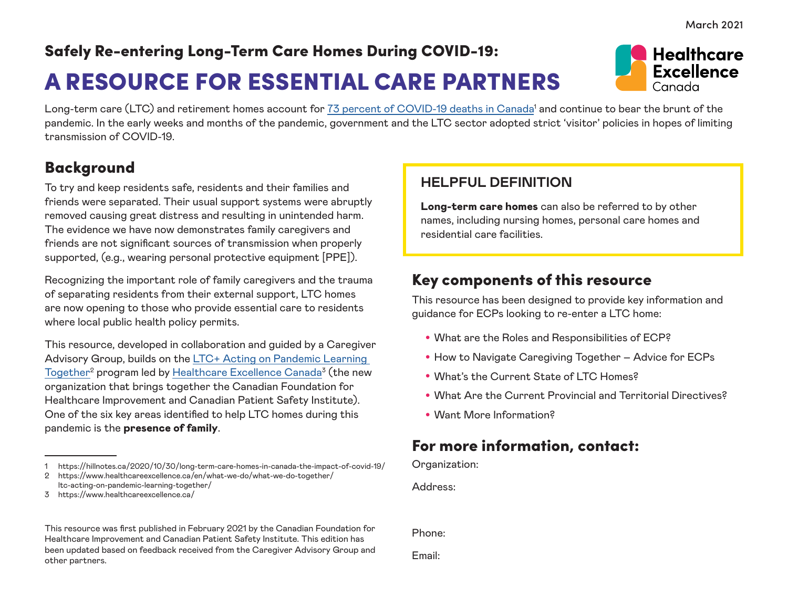March 2021

# Safely Re-entering Long-Term Care Homes During COVID-19: A RESOURCE FOR ESSENTIAL CARE PARTNERS

Long-term care (LTC) and retirement homes account for <u>73 percent of COVID-19 deaths in Canada</u>' and continue to bear the brunt of the pandemic. In the early weeks and months of the pandemic, government and the LTC sector adopted strict 'visitor' policies in hopes of limiting transmission of COVID-19.

### Background

To try and keep residents safe, residents and their families and friends were separated. Their usual support systems were abruptly removed causing great distress and resulting in unintended harm. The evidence we have now demonstrates family caregivers and friends are not significant sources of transmission when properly supported, (e.g., wearing personal protective equipment [PPE]).

Recognizing the important role of family caregivers and the trauma of separating residents from their external support, LTC homes are now opening to those who provide essential care to residents where local public health policy permits.

This resource, developed in collaboration and guided by a Caregiver Advisory Group, builds on the [LTC+ Acting on Pandemic Learning](https://www.healthcareexcellence.ca/en/what-we-do/what-we-do-together/ltc-acting-on-pandemic-learning-together/)  Together<sup>2</sup> program led by <u>Healthcare Excellence Canada</u><sup>3</sup> (the new organization that brings together the Canadian Foundation for Healthcare Improvement and Canadian Patient Safety Institute). One of the six key areas identified to help LTC homes during this pandemic is the presence of family.

#### **HELPFUL DEFINITION**

Long-term care homes can also be referred to by other names, including nursing homes, personal care homes and residential care facilities.

### Key components of this resource

This resource has been designed to provide key information and guidance for ECPs looking to re-enter a LTC home:

- What are the Roles and Responsibilities of ECP?
- How to Navigate Caregiving Together Advice for ECPs
- What's the Current State of LTC Homes?
- What Are the Current Provincial and Territorial Directives?
- Want More Information?

### For more information, contact:

Organization:

Address:

Phone:

Email:



<sup>1</sup> https://hillnotes.ca/2020/10/30/long-term-care-homes-in-canada-the-impact-of-covid-19/

<sup>2</sup> https://www.healthcareexcellence.ca/en/what-we-do/what-we-do-together/ ltc-acting-on-pandemic-learning-together/

<sup>3</sup> https://www.healthcareexcellence.ca/

This resource was first published in February 2021 by the Canadian Foundation for Healthcare Improvement and Canadian Patient Safety Institute. This edition has been updated based on feedback received from the Caregiver Advisory Group and other partners.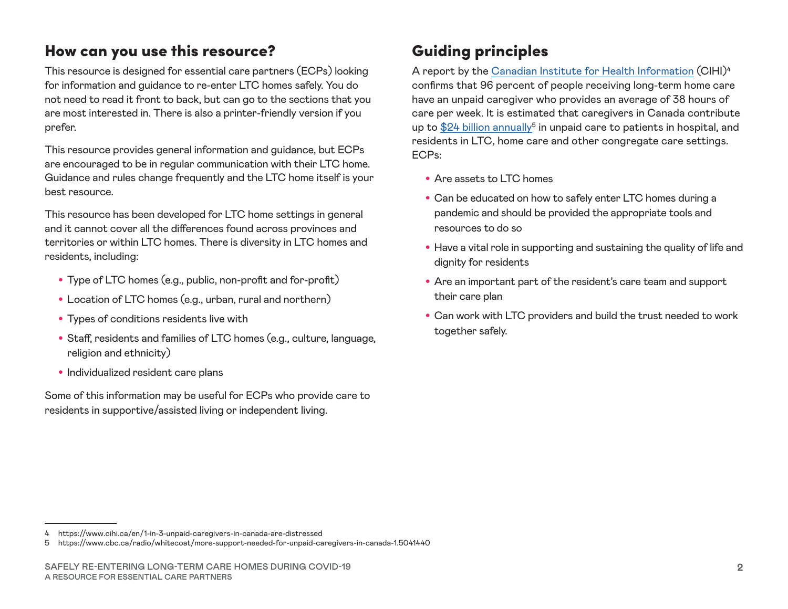### How can you use this resource?

This resource is designed for essential care partners (ECPs) looking for information and guidance to re-enter LTC homes safely. You do not need to read it front to back, but can go to the sections that you are most interested in. There is also a printer-friendly version if you prefer.

This resource provides general information and guidance, but ECPs are encouraged to be in regular communication with their LTC home. Guidance and rules change frequently and the LTC home itself is your best resource.

This resource has been developed for LTC home settings in general and it cannot cover all the differences found across provinces and territories or within LTC homes. There is diversity in LTC homes and residents, including:

- Type of LTC homes (e.g., public, non-profit and for-profit)
- Location of LTC homes (e.g., urban, rural and northern)
- Types of conditions residents live with
- Staff, residents and families of LTC homes (e.g., culture, language, religion and ethnicity)
- Individualized resident care plans

Some of this information may be useful for ECPs who provide care to residents in supportive/assisted living or independent living.

## Guiding principles

A report by the [Canadian Institute for Health Information](https://www.cihi.ca/en/1-in-3-unpaid-caregivers-in-canada-are-distressed) (CIHI)<sup>4</sup> confirms that 96 percent of people receiving long-term home care have an unpaid caregiver who provides an average of 38 hours of care per week. It is estimated that caregivers in Canada contribute up to  $$24$  billion annually<sup>5</sup> in unpaid care to patients in hospital, and residents in LTC, home care and other congregate care settings. ECPs:

- Are assets to LTC homes
- Can be educated on how to safely enter LTC homes during a pandemic and should be provided the appropriate tools and resources to do so
- Have a vital role in supporting and sustaining the quality of life and dignity for residents
- Are an important part of the resident's care team and support their care plan
- Can work with LTC providers and build the trust needed to work together safely.

<sup>4</sup> https://www.cihi.ca/en/1-in-3-unpaid-caregivers-in-canada-are-distressed

<sup>5</sup> https://www.cbc.ca/radio/whitecoat/more-support-needed-for-unpaid-caregivers-in-canada-1.5041440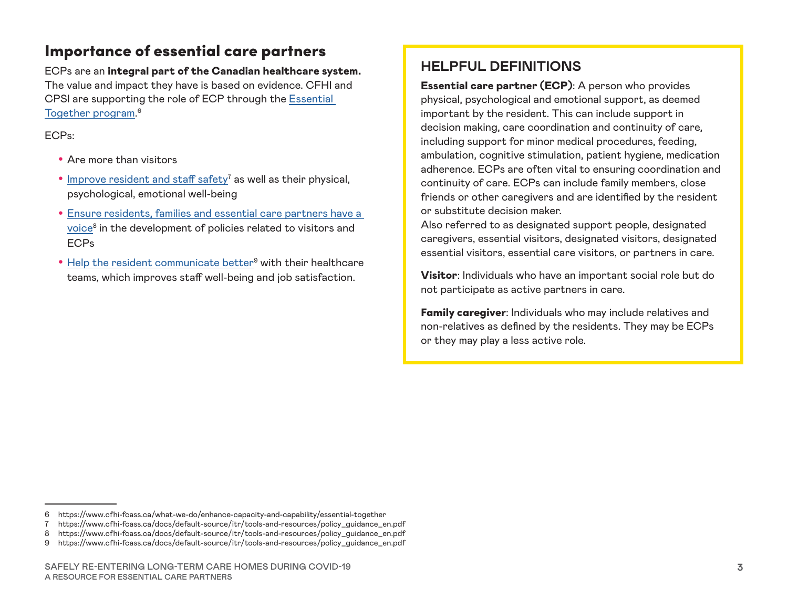### Importance of essential care partners

ECPs are an integral part of the Canadian healthcare system. The value and impact they have is based on evidence. CFHI and CPSI are supporting the role of ECP through the [Essential](https://www.cfhi-fcass.ca/what-we-do/enhance-capacity-and-capability/essential-together)  [Together program.](https://www.cfhi-fcass.ca/what-we-do/enhance-capacity-and-capability/essential-together) 6

ECPs:

- Are more than visitors
- $\bullet$  [Improve resident and staff safety](https://www.cfhi-fcass.ca/docs/default-source/itr/tools-and-resources/policy_guidance_en.pdf)<sup>7</sup> as well as their physical, psychological, emotional well-being
- [Ensure residents, families and essential care partners have a](https://www.cfhi-fcass.ca/docs/default-source/itr/tools-and-resources/policy_guidance_en.pdf)  [voice](https://www.cfhi-fcass.ca/docs/default-source/itr/tools-and-resources/policy_guidance_en.pdf)<sup>8</sup> in the development of policies related to visitors and ECPs
- [Help the resident communicate better](https://www.cfhi-fcass.ca/docs/default-source/itr/tools-and-resources/policy_guidance_en.pdf)<sup>9</sup> with their healthcare teams, which improves staff well-being and job satisfaction.

### **HELPFUL DEFINITIONS**

Essential care partner (ECP): A person who provides physical, psychological and emotional support, as deemed important by the resident. This can include support in decision making, care coordination and continuity of care, including support for minor medical procedures, feeding, ambulation, cognitive stimulation, patient hygiene, medication adherence. ECPs are often vital to ensuring coordination and continuity of care. ECPs can include family members, close friends or other caregivers and are identified by the resident or substitute decision maker.

Also referred to as designated support people, designated caregivers, essential visitors, designated visitors, designated essential visitors, essential care visitors, or partners in care.

Visitor: Individuals who have an important social role but do not participate as active partners in care.

Family caregiver: Individuals who may include relatives and non-relatives as defined by the residents. They may be ECPs or they may play a less active role.

<sup>6</sup> https://www.cfhi-fcass.ca/what-we-do/enhance-capacity-and-capability/essential-together

<sup>7</sup> https://www.cfhi-fcass.ca/docs/default-source/itr/tools-and-resources/policy\_guidance\_en.pdf

<sup>8</sup> https://www.cfhi-fcass.ca/docs/default-source/itr/tools-and-resources/policy\_guidance\_en.pdf

<sup>9</sup> https://www.cfhi-fcass.ca/docs/default-source/itr/tools-and-resources/policy\_guidance\_en.pdf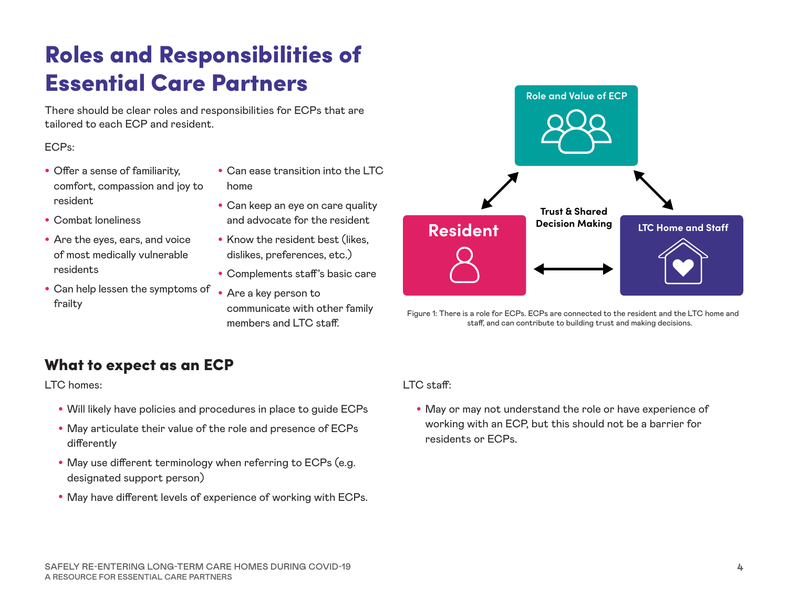# Roles and Responsibilities of Essential Care Partners

There should be clear roles and responsibilities for ECPs that are tailored to each ECP and resident.

#### ECPs:

- Offer a sense of familiarity, comfort, compassion and joy to resident
- Combat loneliness
- Are the eyes, ears, and voice of most medically vulnerable residents
- Can help lessen the symptoms of frailty
- Can ease transition into the LTC home
- Can keep an eye on care quality and advocate for the resident
- Know the resident best (likes, dislikes, preferences, etc.)
- Complements staff's basic care
- Are a key person to communicate with other family members and LTC staff.



Figure 1: There is a role for ECPs. ECPs are connected to the resident and the LTC home and staff, and can contribute to building trust and making decisions.

### What to expect as an ECP

LTC homes:

- Will likely have policies and procedures in place to guide ECPs
- May articulate their value of the role and presence of ECPs differently
- May use different terminology when referring to ECPs (e.g. designated support person)
- May have different levels of experience of working with ECPs.

LTC staff:

• May or may not understand the role or have experience of working with an ECP, but this should not be a barrier for residents or ECPs.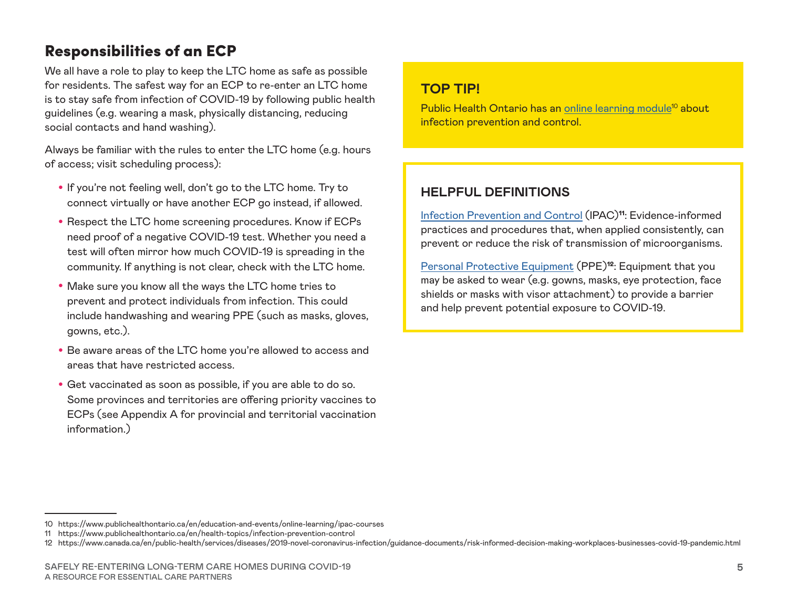### Responsibilities of an ECP

We all have a role to play to keep the LTC home as safe as possible for residents. The safest way for an ECP to re-enter an LTC home is to stay safe from infection of COVID-19 by following public health guidelines (e.g. wearing a mask, physically distancing, reducing social contacts and hand washing).

Always be familiar with the rules to enter the LTC home (e.g. hours of access; visit scheduling process):

- If you're not feeling well, don't go to the LTC home. Try to connect virtually or have another ECP go instead, if allowed.
- Respect the LTC home screening procedures. Know if ECPs need proof of a negative COVID-19 test. Whether you need a test will often mirror how much COVID-19 is spreading in the community. If anything is not clear, check with the LTC home.
- Make sure you know all the ways the LTC home tries to prevent and protect individuals from infection. This could include handwashing and wearing PPE (such as masks, gloves, gowns, etc.).
- Be aware areas of the LTC home you're allowed to access and areas that have restricted access.
- Get vaccinated as soon as possible, if you are able to do so. Some provinces and territories are offering priority vaccines to ECPs (see Appendix A for provincial and territorial vaccination information.)

#### **TOP TIP!**

Public Health Ontario has an online learning module<sup>10</sup> about infection prevention and control.

#### **HELPFUL DEFINITIONS**

[Infection Prevention and Control](https://www.publichealthontario.ca/en/health-topics/infection-prevention-control) (IPAC)11: Evidence-informed practices and procedures that, when applied consistently, can prevent or reduce the risk of transmission of microorganisms.

[Personal Protective Equipment](https://www.canada.ca/en/public-health/services/diseases/2019-novel-coronavirus-infection/guidance-documents/risk-informed-decision-making-workplaces-businesses-covid-19-pandemic.html) (PPE)<sup>12</sup>: Equipment that you may be asked to wear (e.g. gowns, masks, eye protection, face shields or masks with visor attachment) to provide a barrier and help prevent potential exposure to COVID-19.

<sup>10</sup> https://www.publichealthontario.ca/en/education-and-events/online-learning/ipac-courses

<sup>11</sup> https://www.publichealthontario.ca/en/health-topics/infection-prevention-control

<sup>12</sup> https://www.canada.ca/en/public-health/services/diseases/2019-novel-coronavirus-infection/guidance-documents/risk-informed-decision-making-workplaces-businesses-covid-19-pandemic.html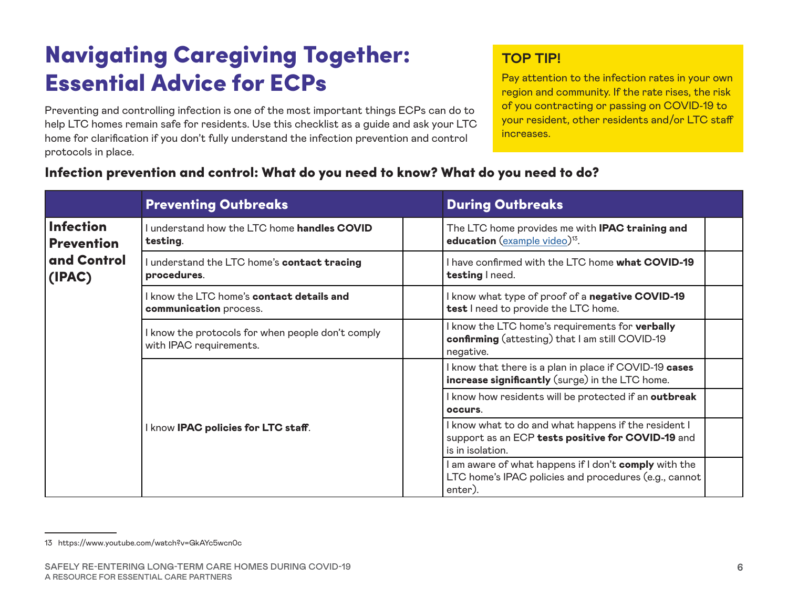# Navigating Caregiving Together: Essential Advice for ECPs

Preventing and controlling infection is one of the most important things ECPs can do to help LTC homes remain safe for residents. Use this checklist as a guide and ask your LTC home for clarification if you don't fully understand the infection prevention and control protocols in place.

#### **TOP TIP!**

Pay attention to the infection rates in your own region and community. If the rate rises, the risk of you contracting or passing on COVID-19 to your resident, other residents and/or LTC staff increases.

#### Preventing Outbreaks **During Outbreaks** During Outbreaks Infection **Prevention** and Control (IPAC) I understand how the LTC home handles COVID testing. The LTC home provides me with **IPAC training and** education [\(example video](https://www.youtube.com/watch?v=GkAYc5wcn0c))<sup>13</sup>. I understand the LTC home's contact tracing procedures. I have confirmed with the LTC home what COVID-19 testing I need. I know the LTC home's contact details and communication process. I know what type of proof of a negative COVID-19 test I need to provide the LTC home. I know the protocols for when people don't comply with IPAC requirements. I know the LTC home's requirements for verbally confirming (attesting) that I am still COVID-19 negative. I know IPAC policies for LTC staff. I know that there is a plan in place if COVID-19 cases increase significantly (surge) in the LTC home. I know how residents will be protected if an outbreak occurs. I know what to do and what happens if the resident I support as an ECP tests positive for COVID-19 and is in isolation. I am aware of what happens if I don't comply with the LTC home's IPAC policies and procedures (e.g., cannot

enter).

#### Infection prevention and control: What do you need to know? What do you need to do?

<sup>13</sup> https://www.youtube.com/watch?v=GkAYc5wcn0c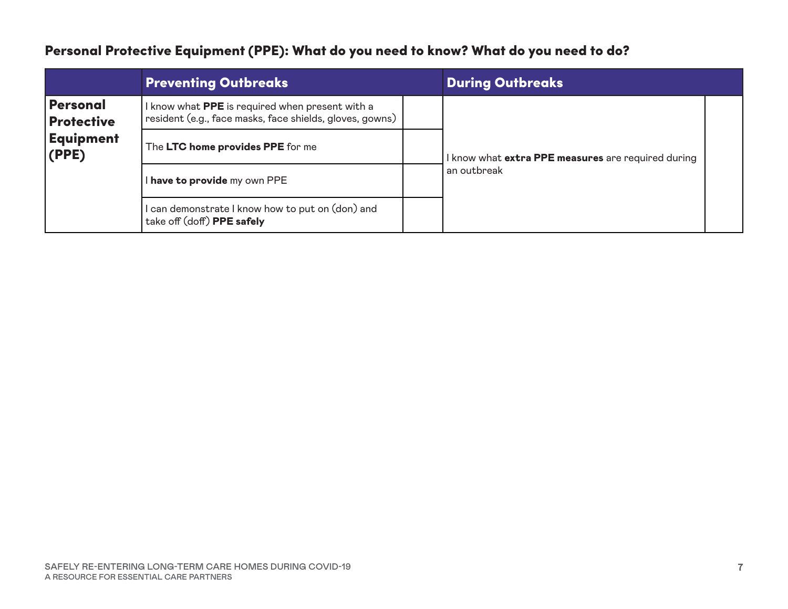### Personal Protective Equipment (PPE): What do you need to know? What do you need to do?

|                                      | <b>Preventing Outbreaks</b>                                                                                 |             | <b>During Outbreaks</b>                            |  |
|--------------------------------------|-------------------------------------------------------------------------------------------------------------|-------------|----------------------------------------------------|--|
| <b>Personal</b><br><b>Protective</b> | I know what PPE is required when present with a<br>resident (e.g., face masks, face shields, gloves, gowns) |             |                                                    |  |
| <b>Equipment</b><br>(PPE)            | The LTC home provides PPE for me                                                                            |             | I know what extra PPE measures are required during |  |
| I have to provide my own PPE         |                                                                                                             | an outbreak |                                                    |  |
|                                      | $\,$ can demonstrate I know how to put on (don) and<br>take off (doff) PPE safely                           |             |                                                    |  |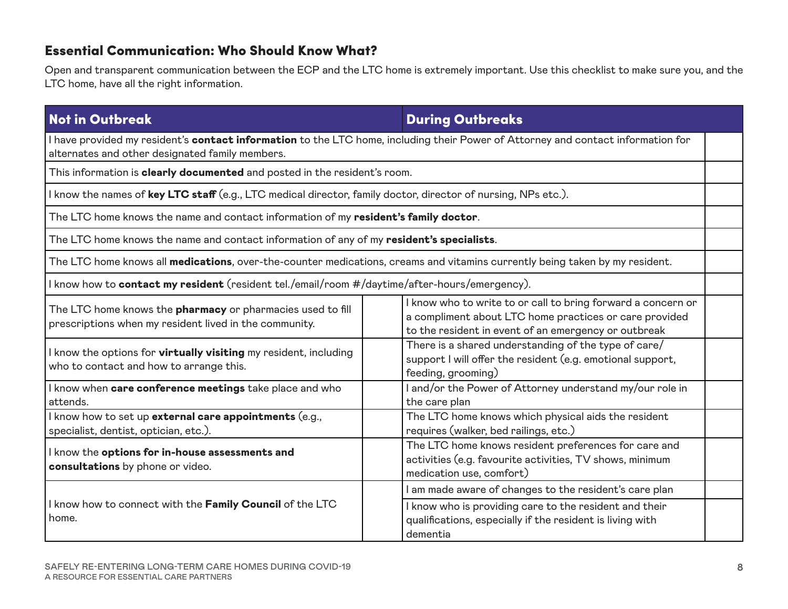#### Essential Communication: Who Should Know What?

Open and transparent communication between the ECP and the LTC home is extremely important. Use this checklist to make sure you, and the LTC home, have all the right information.

#### **Not in Outbreak During Outbreaks** During Outbreaks

I have provided my resident's **contact information** to the LTC home, including their Power of Attorney and contact information for alternates and other designated family members.

This information is clearly documented and posted in the resident's room.

I know the names of key LTC staff (e.g., LTC medical director, family doctor, director of nursing, NPs etc.).

The LTC home knows the name and contact information of my resident's family doctor.

The LTC home knows the name and contact information of any of my resident's specialists.

The LTC home knows all medications, over-the-counter medications, creams and vitamins currently being taken by my resident.

I know how to **contact my resident** (resident tel./email/room #/daytime/after-hours/emergency).

| The LTC home knows the <b>pharmacy</b> or pharmacies used to fill<br>prescriptions when my resident lived in the community. | I know who to write to or call to bring forward a concern or<br>a compliment about LTC home practices or care provided<br>to the resident in event of an emergency or outbreak |
|-----------------------------------------------------------------------------------------------------------------------------|--------------------------------------------------------------------------------------------------------------------------------------------------------------------------------|
| I know the options for <b>virtually visiting</b> my resident, including<br>who to contact and how to arrange this.          | There is a shared understanding of the type of care/<br>support I will offer the resident (e.g. emotional support,<br>feeding, grooming)                                       |
| I know when care conference meetings take place and who<br>attends.                                                         | I and/or the Power of Attorney understand my/our role in<br>the care plan                                                                                                      |
| I know how to set up external care appointments (e.g.,<br>specialist, dentist, optician, etc.).                             | The LTC home knows which physical aids the resident<br>requires (walker, bed railings, etc.)                                                                                   |
| I know the options for in-house assessments and<br>consultations by phone or video.                                         | The LTC home knows resident preferences for care and<br>activities (e.g. favourite activities, TV shows, minimum<br>medication use, comfort)                                   |
|                                                                                                                             | I am made aware of changes to the resident's care plan                                                                                                                         |
| I know how to connect with the Family Council of the LTC<br>home.                                                           | I know who is providing care to the resident and their<br>qualifications, especially if the resident is living with<br>dementia                                                |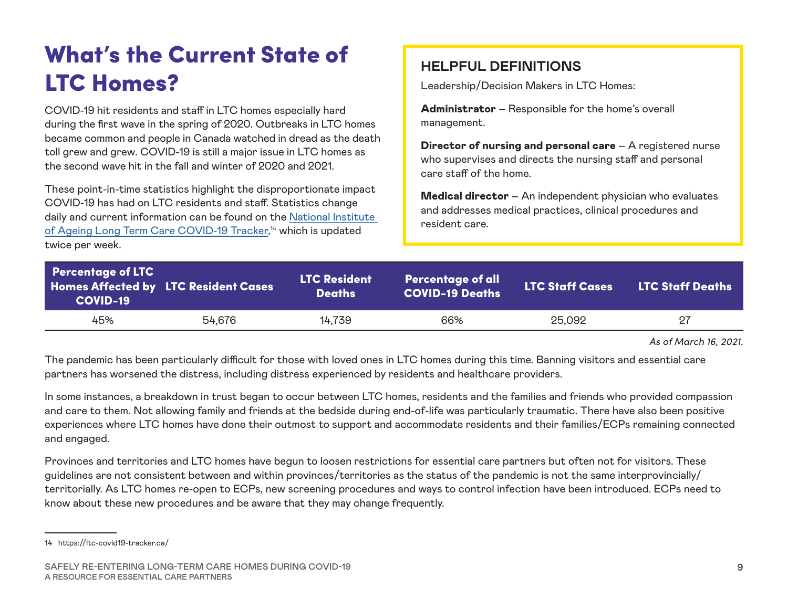# What's the Current State of LTC Homes?

COVID-19 hit residents and staff in LTC homes especially hard during the first wave in the spring of 2020. Outbreaks in LTC homes became common and people in Canada watched in dread as the death toll grew and grew. COVID-19 is still a major issue in LTC homes as the second wave hit in the fall and winter of 2020 and 2021.

These point-in-time statistics highlight the disproportionate impact COVID-19 has had on LTC residents and staff. Statistics change daily and current information can be found on the [National Institute](https://ltc-covid19-tracker.ca/)  [of Ageing Long Term Care COVID-19 Tracker](https://ltc-covid19-tracker.ca/), 14 which is updated twice per week.

#### **HELPFUL DEFINITIONS**

Leadership/Decision Makers in LTC Homes:

Administrator – Responsible for the home's overall management.

Director of nursing and personal care – A registered nurse who supervises and directs the nursing staff and personal care staff of the home.

**Medical director** – An independent physician who evaluates and addresses medical practices, clinical procedures and resident care.

| <b>Percentage of LTC</b><br><b>COVID-19</b> | <b>Homes Affected by LTC Resident Cases</b> | <b>LTC Resident</b><br><b>Deaths</b> | <b>Percentage of all</b><br><b>COVID-19 Deaths</b> | <b>LTC Staff Cases</b> | <b>LTC Staff Deaths</b> |
|---------------------------------------------|---------------------------------------------|--------------------------------------|----------------------------------------------------|------------------------|-------------------------|
| 45%                                         | 54.676                                      | 14,739                               | 66%                                                | 25,092                 | 27                      |

*As of March 16, 2021.*

The pandemic has been particularly difficult for those with loved ones in LTC homes during this time. Banning visitors and essential care partners has worsened the distress, including distress experienced by residents and healthcare providers.

In some instances, a breakdown in trust began to occur between LTC homes, residents and the families and friends who provided compassion and care to them. Not allowing family and friends at the bedside during end-of-life was particularly traumatic. There have also been positive experiences where LTC homes have done their outmost to support and accommodate residents and their families/ECPs remaining connected and engaged.

Provinces and territories and LTC homes have begun to loosen restrictions for essential care partners but often not for visitors. These guidelines are not consistent between and within provinces/territories as the status of the pandemic is not the same interprovincially/ territorially. As LTC homes re-open to ECPs, new screening procedures and ways to control infection have been introduced. ECPs need to know about these new procedures and be aware that they may change frequently.

<sup>14</sup> https://ltc-covid19-tracker.ca/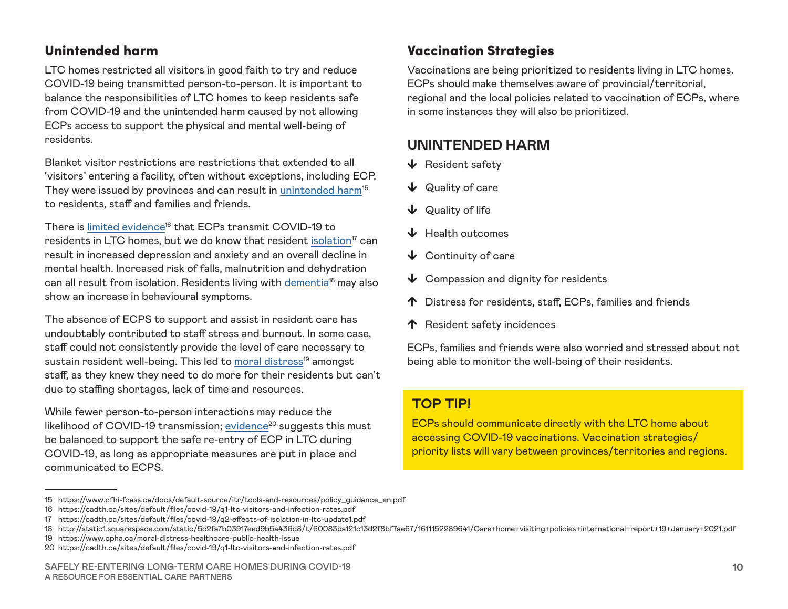#### Unintended harm

LTC homes restricted all visitors in good faith to try and reduce COVID-19 being transmitted person-to-person. It is important to balance the responsibilities of LTC homes to keep residents safe from COVID-19 and the unintended harm caused by not allowing ECPs access to support the physical and mental well-being of residents.

Blanket visitor restrictions are restrictions that extended to all 'visitors' entering a facility, often without exceptions, including ECP. They were issued by provinces and can result in unintended harm<sup>15</sup> to residents, staff and families and friends.

There is limited evidence<sup>16</sup> that ECPs transmit COVID-19 to residents in LTC homes, but we do know that resident [isolation](https://cadth.ca/sites/default/files/covid-19/q2-effects-of-isolation-in-ltc-update1.pdf)<sup>17</sup> can result in increased depression and anxiety and an overall decline in mental health. Increased risk of falls, malnutrition and dehydration can all result from isolation. Residents living with [dementia](http://static1.squarespace.com/static/5c2fa7b03917eed9b5a436d8/t/60083ba121c13d2f8bf7ae67/1611152289641/Care+home+visiting+policies+international+report+19+January+2021.pdf)<sup>18</sup> may also show an increase in behavioural symptoms.

The absence of ECPS to support and assist in resident care has undoubtably contributed to staff stress and burnout. In some case, staff could not consistently provide the level of care necessary to sustain resident well-being. This led to moral distress<sup>19</sup> amongst staff, as they knew they need to do more for their residents but can't due to staffing shortages, lack of time and resources.

While fewer person-to-person interactions may reduce the likelihood of COVID-19 transmission; evidence<sup>20</sup> suggests this must be balanced to support the safe re-entry of ECP in LTC during COVID-19, as long as appropriate measures are put in place and communicated to ECPS.

#### Vaccination Strategies

Vaccinations are being prioritized to residents living in LTC homes. ECPs should make themselves aware of provincial/territorial, regional and the local policies related to vaccination of ECPs, where in some instances they will also be prioritized.

#### **UNINTENDED HARM**

- $\bigvee$  Resident safety
- $\downarrow$  Quality of care
- $\downarrow$  Quality of life
- $\bigcup$  Health outcomes
- $\bigvee$  Continuity of care
- $\bigvee$  Compassion and dignity for residents
- ↑ Distress for residents, staff, ECPs, families and friends
- $\uparrow$  Resident safety incidences

ECPs, families and friends were also worried and stressed about not being able to monitor the well-being of their residents.

#### **TOP TIP!**

ECPs should communicate directly with the LTC home about accessing COVID-19 vaccinations. Vaccination strategies/ priority lists will vary between provinces/territories and regions.

<sup>15</sup> https://www.cfhi-fcass.ca/docs/default-source/itr/tools-and-resources/policy\_guidance\_en.pdf

<sup>16</sup> https://cadth.ca/sites/default/files/covid-19/q1-ltc-visitors-and-infection-rates.pdf

<sup>17</sup> https://cadth.ca/sites/default/files/covid-19/q2-effects-of-isolation-in-ltc-update1.pdf

<sup>18</sup> http://static1.squarespace.com/static/5c2fa7b03917eed9b5a436d8/t/60083ba121c13d2f8bf7ae67/1611152289641/Care+home+visiting+policies+international+report+19+January+2021.pdf

<sup>19</sup> https://www.cpha.ca/moral-distress-healthcare-public-health-issue

<sup>20</sup> https://cadth.ca/sites/default/files/covid-19/q1-ltc-visitors-and-infection-rates.pdf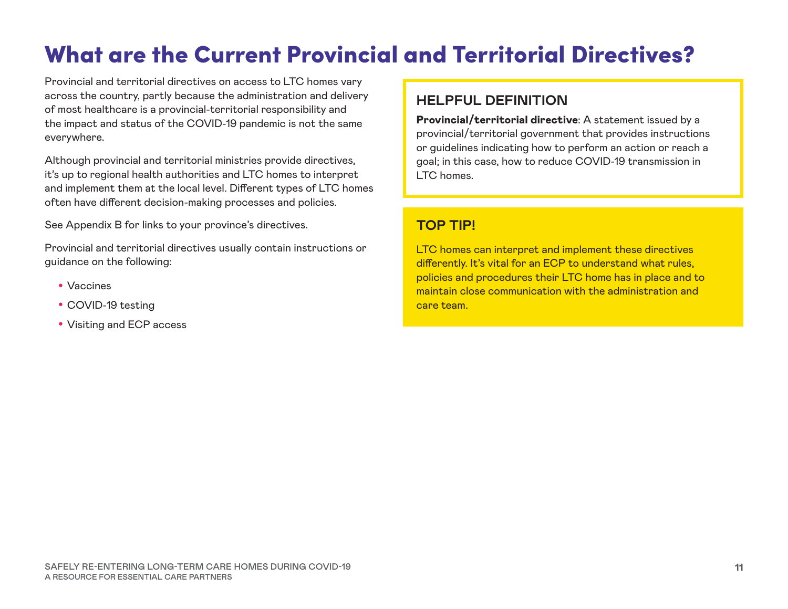# What are the Current Provincial and Territorial Directives?

Provincial and territorial directives on access to LTC homes vary across the country, partly because the administration and delivery of most healthcare is a provincial-territorial responsibility and the impact and status of the COVID-19 pandemic is not the same everywhere.

Although provincial and territorial ministries provide directives, it's up to regional health authorities and LTC homes to interpret and implement them at the local level. Different types of LTC homes often have different decision-making processes and policies.

See Appendix B for links to your province's directives.

Provincial and territorial directives usually contain instructions or guidance on the following:

- Vaccines
- COVID-19 testing
- Visiting and ECP access

#### **HELPFUL DEFINITION**

Provincial/territorial directive: A statement issued by a provincial/territorial government that provides instructions or guidelines indicating how to perform an action or reach a goal; in this case, how to reduce COVID-19 transmission in LTC homes.

#### **TOP TIP!**

LTC homes can interpret and implement these directives differently. It's vital for an ECP to understand what rules, policies and procedures their LTC home has in place and to maintain close communication with the administration and care team.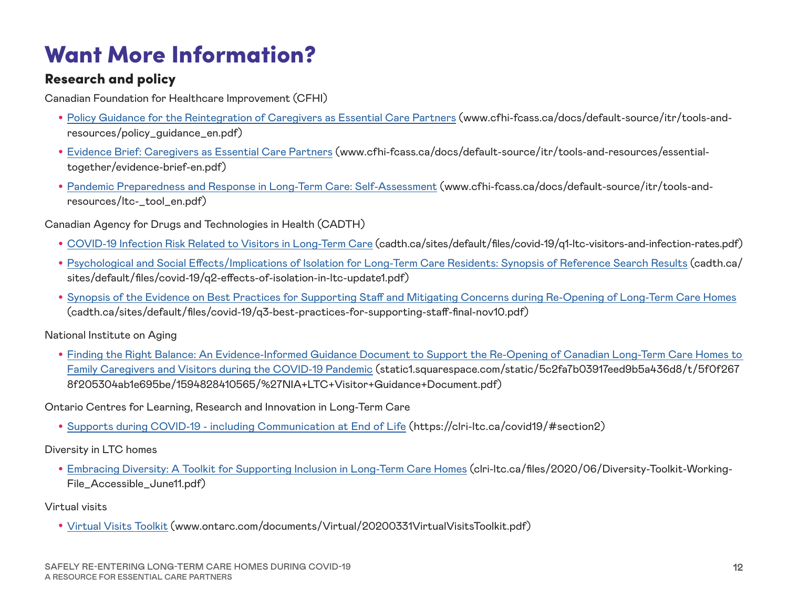# Want More Information?

#### Research and policy

Canadian Foundation for Healthcare Improvement (CFHI)

- [Policy Guidance for the Reintegration of Caregivers as Essential Care Partners](http://www.cfhi-fcass.ca/docs/default-source/itr/tools-and-resources/policy_guidance_en.pdf) (www.cfhi-fcass.ca/docs/default-source/itr/tools-andresources/policy\_guidance\_en.pdf)
- [Evidence Brief: Caregivers as Essential Care Partners](http://www.cfhi-fcass.ca/docs/default-source/itr/tools-and-resources/essential-together/evidence-brief-en.pdf) (www.cfhi-fcass.ca/docs/default-source/itr/tools-and-resources/essentialtogether/evidence-brief-en.pdf)
- [Pandemic Preparedness and Response in Long-Term Care: Self-Assessment](http://www.cfhi-fcass.ca/docs/default-source/itr/tools-and-resources/ltc-_tool_en.pdf) (www.cfhi-fcass.ca/docs/default-source/itr/tools-andresources/ltc-\_tool\_en.pdf)

Canadian Agency for Drugs and Technologies in Health (CADTH)

- [COVID-19 Infection Risk Related to Visitors in Long-Term Care](http://cadth.ca/sites/default/files/covid-19/q1-ltc-visitors-and-infection-rates.pdf) (cadth.ca/sites/default/files/covid-19/q1-ltc-visitors-and-infection-rates.pdf)
- [Psychological and Social Effects/Implications of Isolation for Long-Term Care Residents: Synopsis of Reference Search Results](http://cadth.ca/sites/default/files/covid-19/q2-effects-of-isolation-in-ltc-update1.pdf) (cadth.ca/ sites/default/files/covid-19/q2-effects-of-isolation-in-ltc-update1.pdf)
- [Synopsis of the Evidence on Best Practices for Supporting Staff and Mitigating Concerns during Re-Opening of Long-Term Care Homes](http://cadth.ca/sites/default/files/covid-19/q3-best-practices-for-supporting-staff-final-nov10.pdf) (cadth.ca/sites/default/files/covid-19/q3-best-practices-for-supporting-staff-final-nov10.pdf)

National Institute on Aging

• [Finding the Right Balance: An Evidence-Informed Guidance Document to Support the Re-Opening of Canadian Long-Term Care Homes to](http://static1.squarespace.com/static/5c2fa7b03917eed9b5a436d8/t/5f0f2678f205304ab1e695be/1594828410565/%27NIA+LTC+Visitor+Guidance+Document.pdf)  [Family Caregivers and Visitors during the COVID-19 Pandemic](http://static1.squarespace.com/static/5c2fa7b03917eed9b5a436d8/t/5f0f2678f205304ab1e695be/1594828410565/%27NIA+LTC+Visitor+Guidance+Document.pdf) (static1.squarespace.com/static/5c2fa7b03917eed9b5a436d8/t/5f0f267 8f205304ab1e695be/1594828410565/%27NIA+LTC+Visitor+Guidance+Document.pdf)

Ontario Centres for Learning, Research and Innovation in Long-Term Care

• [Supports during COVID-19 - including Communication at End of Life](https://clri-ltc.ca/covid19/#section2) (https://clri-ltc.ca/covid19/#section2)

Diversity in LTC homes

• [Embracing Diversity: A Toolkit for Supporting Inclusion in Long-Term Care Homes](http://clri-ltc.ca/files/2020/06/Diversity-Toolkit-Working-File_Accessible_June11.pdf) (clri-ltc.ca/files/2020/06/Diversity-Toolkit-Working-File\_Accessible\_June11.pdf)

Virtual visits

• [Virtual Visits Toolkit](http://www.ontarc.com/documents/Virtual/20200331VirtualVisitsToolkit.pdf) (www.ontarc.com/documents/Virtual/20200331VirtualVisitsToolkit.pdf)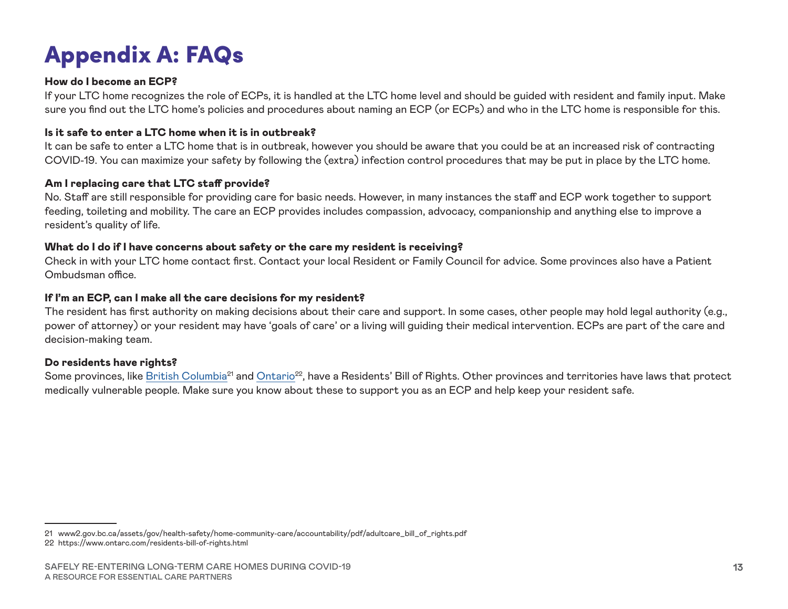# Appendix A: FAQs

#### How do I become an ECP?

If your LTC home recognizes the role of ECPs, it is handled at the LTC home level and should be guided with resident and family input. Make sure you find out the LTC home's policies and procedures about naming an ECP (or ECPs) and who in the LTC home is responsible for this.

#### Is it safe to enter a LTC home when it is in outbreak?

It can be safe to enter a LTC home that is in outbreak, however you should be aware that you could be at an increased risk of contracting COVID-19. You can maximize your safety by following the (extra) infection control procedures that may be put in place by the LTC home.

#### Am I replacing care that LTC staff provide?

No. Staff are still responsible for providing care for basic needs. However, in many instances the staff and ECP work together to support feeding, toileting and mobility. The care an ECP provides includes compassion, advocacy, companionship and anything else to improve a resident's quality of life.

#### What do I do if I have concerns about safety or the care my resident is receiving?

Check in with your LTC home contact first. Contact your local Resident or Family Council for advice. Some provinces also have a Patient Ombudsman office.

#### If I'm an ECP, can I make all the care decisions for my resident?

The resident has first authority on making decisions about their care and support. In some cases, other people may hold legal authority (e.g., power of attorney) or your resident may have 'goals of care' or a living will guiding their medical intervention. ECPs are part of the care and decision-making team.

#### Do residents have rights?

Some provinces, like [British Columbia](http://www2.gov.bc.ca/assets/gov/health-safety/home-community-care/accountability/pdf/adultcare_bill_of_rights.pdf)<sup>21</sup> and Ontario<sup>22</sup>, have a Residents' Bill of Rights. Other provinces and territories have laws that protect medically vulnerable people. Make sure you know about these to support you as an ECP and help keep your resident safe.

<sup>21</sup> www2.gov.bc.ca/assets/gov/health-safety/home-community-care/accountability/pdf/adultcare\_bill\_of\_rights.pdf 22 https://www.ontarc.com/residents-bill-of-rights.html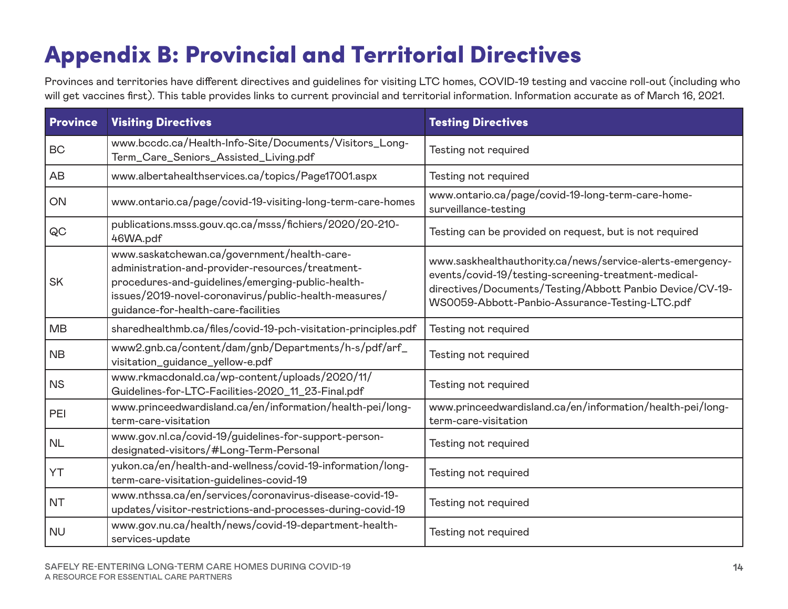# Appendix B: Provincial and Territorial Directives

Provinces and territories have different directives and guidelines for visiting LTC homes, COVID-19 testing and vaccine roll-out (including who will get vaccines first). This table provides links to current provincial and territorial information. Information accurate as of March 16, 2021.

| <b>Province</b> | <b>Visiting Directives</b>                                                                                                                                                                                                                           | <b>Testing Directives</b>                                                                                                                                                                                                       |
|-----------------|------------------------------------------------------------------------------------------------------------------------------------------------------------------------------------------------------------------------------------------------------|---------------------------------------------------------------------------------------------------------------------------------------------------------------------------------------------------------------------------------|
| <b>BC</b>       | www.bccdc.ca/Health-Info-Site/Documents/Visitors_Long-<br>Term_Care_Seniors_Assisted_Living.pdf                                                                                                                                                      | Testing not required                                                                                                                                                                                                            |
| AB              | www.albertahealthservices.ca/topics/Page17001.aspx                                                                                                                                                                                                   | Testing not required                                                                                                                                                                                                            |
| ON              | www.ontario.ca/page/covid-19-visiting-long-term-care-homes                                                                                                                                                                                           | www.ontario.ca/page/covid-19-long-term-care-home-<br>surveillance-testing                                                                                                                                                       |
| QC              | publications.msss.gouv.qc.ca/msss/fichiers/2020/20-210-<br>46WA.pdf                                                                                                                                                                                  | Testing can be provided on request, but is not required                                                                                                                                                                         |
| <b>SK</b>       | www.saskatchewan.ca/government/health-care-<br>administration-and-provider-resources/treatment-<br>procedures-and-guidelines/emerging-public-health-<br>issues/2019-novel-coronavirus/public-health-measures/<br>guidance-for-health-care-facilities | www.saskhealthauthority.ca/news/service-alerts-emergency-<br>events/covid-19/testing-screening-treatment-medical-<br>directives/Documents/Testing/Abbott Panbio Device/CV-19-<br>WS0059-Abbott-Panbio-Assurance-Testing-LTC.pdf |
| <b>MB</b>       | sharedhealthmb.ca/files/covid-19-pch-visitation-principles.pdf                                                                                                                                                                                       | Testing not required                                                                                                                                                                                                            |
| <b>NB</b>       | www2.gnb.ca/content/dam/gnb/Departments/h-s/pdf/arf_<br>visitation_guidance_yellow-e.pdf                                                                                                                                                             | Testing not required                                                                                                                                                                                                            |
| <b>NS</b>       | www.rkmacdonald.ca/wp-content/uploads/2020/11/<br>Guidelines-for-LTC-Facilities-2020_11_23-Final.pdf                                                                                                                                                 | Testing not required                                                                                                                                                                                                            |
| PEI             | www.princeedwardisland.ca/en/information/health-pei/long-<br>term-care-visitation                                                                                                                                                                    | www.princeedwardisland.ca/en/information/health-pei/long-<br>term-care-visitation                                                                                                                                               |
| <b>NL</b>       | www.gov.nl.ca/covid-19/guidelines-for-support-person-<br>designated-visitors/#Long-Term-Personal                                                                                                                                                     | Testing not required                                                                                                                                                                                                            |
| YT              | yukon.ca/en/health-and-wellness/covid-19-information/long-<br>term-care-visitation-guidelines-covid-19                                                                                                                                               | Testing not required                                                                                                                                                                                                            |
| <b>NT</b>       | www.nthssa.ca/en/services/coronavirus-disease-covid-19-<br>updates/visitor-restrictions-and-processes-during-covid-19                                                                                                                                | Testing not required                                                                                                                                                                                                            |
| <b>NU</b>       | www.gov.nu.ca/health/news/covid-19-department-health-<br>services-update                                                                                                                                                                             | Testing not required                                                                                                                                                                                                            |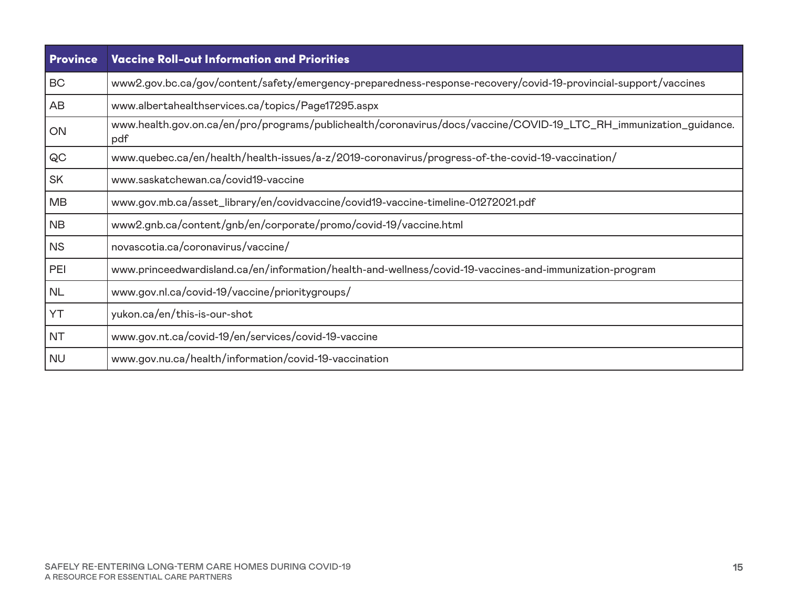| <b>Province</b> | <b>Vaccine Roll-out Information and Priorities</b>                                                                       |
|-----------------|--------------------------------------------------------------------------------------------------------------------------|
| BC              | www2.gov.bc.ca/gov/content/safety/emergency-preparedness-response-recovery/covid-19-provincial-support/vaccines          |
| AB              | www.albertahealthservices.ca/topics/Page17295.aspx                                                                       |
| ON              | www.health.gov.on.ca/en/pro/programs/publichealth/coronavirus/docs/vaccine/COVID-19_LTC_RH_immunization_guidance.<br>pdf |
| QC              | www.quebec.ca/en/health/health-issues/a-z/2019-coronavirus/progress-of-the-covid-19-vaccination/                         |
| <b>SK</b>       | www.saskatchewan.ca/covid19-vaccine                                                                                      |
| <b>MB</b>       | www.gov.mb.ca/asset_library/en/covidvaccine/covid19-vaccine-timeline-01272021.pdf                                        |
| <b>NB</b>       | www2.gnb.ca/content/gnb/en/corporate/promo/covid-19/vaccine.html                                                         |
| <b>NS</b>       | novascotia.ca/coronavirus/vaccine/                                                                                       |
| PEI             | www.princeedwardisland.ca/en/information/health-and-wellness/covid-19-vaccines-and-immunization-program                  |
| <b>NL</b>       | www.gov.nl.ca/covid-19/vaccine/prioritygroups/                                                                           |
| YT              | yukon.ca/en/this-is-our-shot                                                                                             |
| <b>NT</b>       | www.gov.nt.ca/covid-19/en/services/covid-19-vaccine                                                                      |
| <b>NU</b>       | www.gov.nu.ca/health/information/covid-19-vaccination                                                                    |